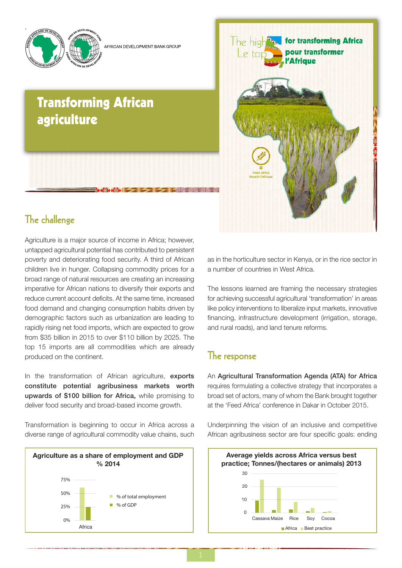

AERICAN DEVELOPMENT BANK GROUE

# **Transforming African** agriculture



## The challenge

Agriculture is a major source of income in Africa; however, untapped agricultural potential has contributed to persistent poverty and deteriorating food security. A third of African children live in hunger. Collapsing commodity prices for a broad range of natural resources are creating an increasing imperative for African nations to diversify their exports and reduce current account deficits. At the same time, increased food demand and changing consumption habits driven by demographic factors such as urbanization are leading to rapidly rising net food imports, which are expected to grow from \$35 billion in 2015 to over \$110 billion by 2025. The top 15 imports are all commodities which are already produced on the continent.

In the transformation of African agriculture, exports constitute potential agribusiness markets worth upwards of \$100 billion for Africa, while promising to deliver food security and broad-based income growth.

Transformation is beginning to occur in Africa across a diverse range of agricultural commodity value chains, such



as in the horticulture sector in Kenya, or in the rice sector in a number of countries in West Africa.

The lessons learned are framing the necessary strategies for achieving successful agricultural 'transformation' in areas like policy interventions to liberalize input markets, innovative financing, infrastructure development (irrigation, storage, and rural roads), and land tenure reforms.

### The response

An Agricultural Transformation Agenda (ATA) for Africa requires formulating a collective strategy that incorporates a broad set of actors, many of whom the Bank brought together at the 'Feed Africa' conference in Dakar in October 2015.

Underpinning the vision of an inclusive and competitive African agribusiness sector are four specific goals: ending